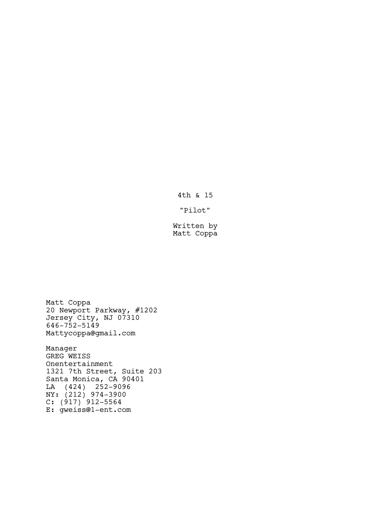4th & 15

"Pilot"

Written by Matt Coppa

Matt Coppa 20 Newport Parkway, #1202 Jersey City, NJ 07310 646-752-5149 Mattycoppa@gmail.com

Manager GREG WEISS Onentertainment 1321 7th Street, Suite 203 Santa Monica, CA 90401 LA (424) 252-9096 NY: (212) 974-3900  $C: (917) 912 - 5564$ E: gweiss@1-ent.com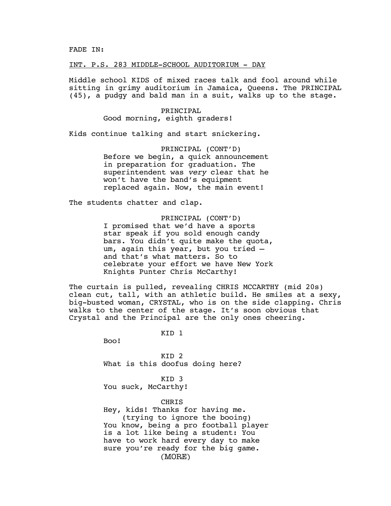FADE IN:

INT. P.S. 283 MIDDLE-SCHOOL AUDITORIUM - DAY

Middle school KIDS of mixed races talk and fool around while sitting in grimy auditorium in Jamaica, Queens. The PRINCIPAL (45), a pudgy and bald man in a suit, walks up to the stage.

> PRINCIPAL Good morning, eighth graders!

Kids continue talking and start snickering.

PRINCIPAL (CONT'D) Before we begin, a quick announcement in preparation for graduation. The superintendent was *very* clear that he won't have the band's equipment replaced again. Now, the main event!

The students chatter and clap.

PRINCIPAL (CONT'D) I promised that we'd have a sports star speak if you sold enough candy bars. You didn't quite make the quota, um, again this year, but you tried and that's what matters. So to celebrate your effort we have New York Knights Punter Chris McCarthy!

The curtain is pulled, revealing CHRIS MCCARTHY (mid 20s) clean cut, tall, with an athletic build. He smiles at a sexy, big-busted woman, CRYSTAL, who is on the side clapping. Chris walks to the center of the stage. It's soon obvious that Crystal and the Principal are the only ones cheering.

KID 1

Boo!

KID 2 What is this doofus doing here?

KID 3 You suck, McCarthy!

CHRIS

Hey, kids! Thanks for having me. (trying to ignore the booing) You know, being a pro football player is a lot like being a student: You have to work hard every day to make sure you're ready for the big game. (MORE)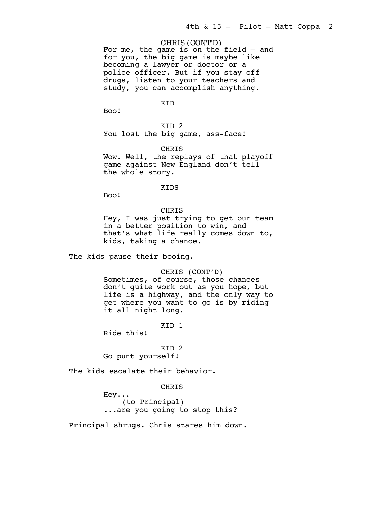CHRIS (CONT'D)

For me, the game is on the field — and for you, the big game is maybe like becoming a lawyer or doctor or a police officer. But if you stay off drugs, listen to your teachers and study, you can accomplish anything.

# KID 1

Boo!

KID 2 You lost the big game, ass-face!

**CHRIS** Wow. Well, the replays of that playoff game against New England don't tell the whole story.

#### KIDS

Boo!

# CHRIS

Hey, I was just trying to get our team in a better position to win, and that's what life really comes down to, kids, taking a chance.

The kids pause their booing.

# CHRIS (CONT'D)

Sometimes, of course, those chances don't quite work out as you hope, but life is a highway, and the only way to get where you want to go is by riding it all night long.

KID 1

Ride this!

# KID 2 Go punt yourself!

The kids escalate their behavior.

# CHRIS

Hey... (to Principal) ...are you going to stop this?

Principal shrugs. Chris stares him down.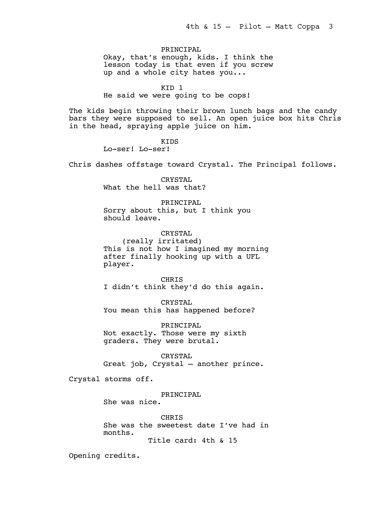PRINCIPAL Okay, that's enough, kids. I think the lesson today is that even if you screw up and a whole city hates you...

# KID 1

He said we were going to be cops!

The kids begin throwing their brown lunch bags and the candy bars they were supposed to sell. An open juice box hits Chris in the head, spraying apple juice on him.

> KIDS Lo-ser! Lo-ser!

Chris dashes offstage toward Crystal. The Principal follows.

CRYSTAL What the hell was that?

PRINCIPAL Sorry about this, but I think you should leave.

CRYSTAL (really irritated) This is not how I imagined my morning after finally hooking up with a UFL player.

CHRIS I didn't think they'd do this again.

CRYSTAL You mean this has happened before?

PRINCIPAL Not exactly. Those were my sixth graders. They were brutal.

CRYSTAL Great job, Crystal — another prince.

Crystal storms off.

PRINCIPAL She was nice.

**CHRTS** She was the sweetest date I've had in months.

Title card: 4th & 15

Opening credits.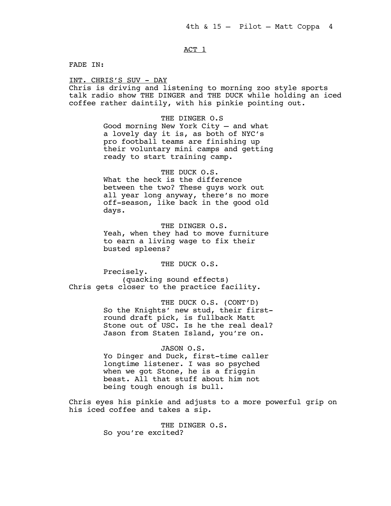# ACT<sub>1</sub>

FADE IN:

INT. CHRIS'S SUV - DAY

Chris is driving and listening to morning zoo style sports talk radio show THE DINGER and THE DUCK while holding an iced coffee rather daintily, with his pinkie pointing out.

> THE DINGER O.S Good morning New York City — and what a lovely day it is, as both of NYC's pro football teams are finishing up their voluntary mini camps and getting ready to start training camp.

THE DUCK O.S. What the heck is the difference between the two? These guys work out all year long anyway, there's no more off-season, like back in the good old days.

THE DINGER O.S. Yeah, when they had to move furniture to earn a living wage to fix their busted spleens?

THE DUCK O.S.

Precisely. (quacking sound effects) Chris gets closer to the practice facility.

> THE DUCK O.S. (CONT'D) So the Knights' new stud, their firstround draft pick, is fullback Matt Stone out of USC. Is he the real deal? Jason from Staten Island, you're on.

### JASON O.S.

Yo Dinger and Duck, first-time caller longtime listener. I was so psyched when we got Stone, he is a friggin beast. All that stuff about him not being tough enough is bull.

Chris eyes his pinkie and adjusts to a more powerful grip on his iced coffee and takes a sip.

> THE DINGER O.S. So you're excited?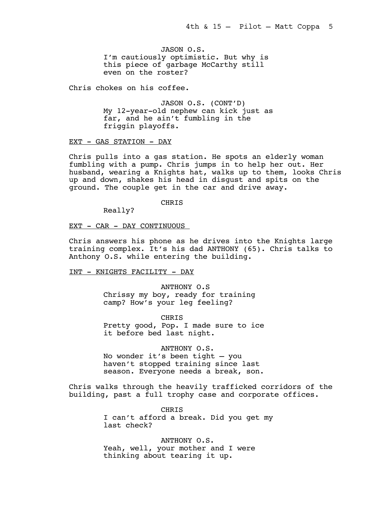JASON O.S. I'm cautiously optimistic. But why is this piece of garbage McCarthy still even on the roster?

Chris chokes on his coffee.

JASON O.S. (CONT'D) My 12-year-old nephew can kick just as far, and he ain't fumbling in the friggin playoffs.

# EXT - GAS STATION - DAY

Chris pulls into a gas station. He spots an elderly woman fumbling with a pump. Chris jumps in to help her out. Her husband, wearing a Knights hat, walks up to them, looks Chris up and down, shakes his head in disgust and spits on the ground. The couple get in the car and drive away.

**CHRIS** 

Really?

# EXT - CAR - DAY CONTINUOUS

Chris answers his phone as he drives into the Knights large training complex. It's his dad ANTHONY (65). Chris talks to Anthony O.S. while entering the building.

# INT - KNIGHTS FACILITY - DAY

ANTHONY O.S Chrissy my boy, ready for training camp? How's your leg feeling?

**CHRIS** Pretty good, Pop. I made sure to ice it before bed last night.

# ANTHONY O.S.

No wonder it's been tight — you haven't stopped training since last season. Everyone needs a break, son.

Chris walks through the heavily trafficked corridors of the building, past a full trophy case and corporate offices.

> CHRIS I can't afford a break. Did you get my last check?

ANTHONY O.S. Yeah, well, your mother and I were thinking about tearing it up.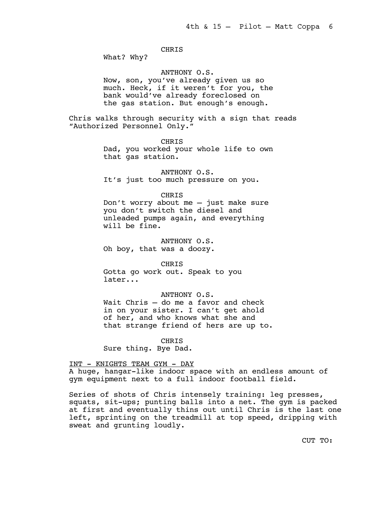# CHRIS

What? Why?

### ANTHONY O.S.

Now, son, you've already given us so much. Heck, if it weren't for you, the bank would've already foreclosed on the gas station. But enough's enough.

Chris walks through security with a sign that reads "Authorized Personnel Only."

CHRIS

Dad, you worked your whole life to own that gas station.

ANTHONY O.S. It's just too much pressure on you.

#### CHRIS

Don't worry about me — just make sure you don't switch the diesel and unleaded pumps again, and everything will be fine.

ANTHONY O.S. Oh boy, that was a doozy.

CHRIS Gotta go work out. Speak to you later...

# ANTHONY O.S.

Wait Chris — do me a favor and check in on your sister. I can't get ahold of her, and who knows what she and that strange friend of hers are up to.

CHRIS

Sure thing. Bye Dad.

# INT - KNIGHTS TEAM GYM - DAY

A huge, hangar-like indoor space with an endless amount of gym equipment next to a full indoor football field.

Series of shots of Chris intensely training: leg presses, squats, sit-ups; punting balls into a net. The gym is packed at first and eventually thins out until Chris is the last one left, sprinting on the treadmill at top speed, dripping with sweat and grunting loudly.

CUT TO: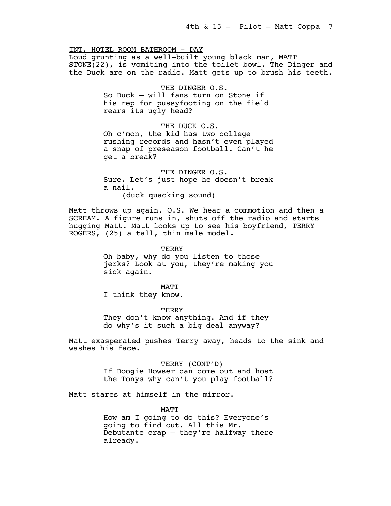INT. HOTEL ROOM BATHROOM - DAY Loud grunting as a well-built young black man, MATT STONE(22), is vomiting into the toilet bowl. The Dinger and the Duck are on the radio. Matt gets up to brush his teeth.

> THE DINGER O.S. So Duck — will fans turn on Stone if his rep for pussyfooting on the field rears its ugly head?

THE DUCK O.S. Oh c'mon, the kid has two college rushing records and hasn't even played a snap of preseason football. Can't he get a break?

THE DINGER O.S. Sure. Let's just hope he doesn't break a nail. (duck quacking sound)

Matt throws up again. O.S. We hear a commotion and then a SCREAM. A figure runs in, shuts off the radio and starts hugging Matt. Matt looks up to see his boyfriend, TERRY ROGERS, (25) a tall, thin male model.

> **TERRY** Oh baby, why do you listen to those jerks? Look at you, they're making you sick again.

MATT I think they know.

**TERRY** They don't know anything. And if they do why's it such a big deal anyway?

Matt exasperated pushes Terry away, heads to the sink and washes his face.

> TERRY (CONT'D) If Doogie Howser can come out and host the Tonys why can't you play football?

Matt stares at himself in the mirror.

MATT How am I going to do this? Everyone's going to find out. All this Mr. Debutante crap — they're halfway there already.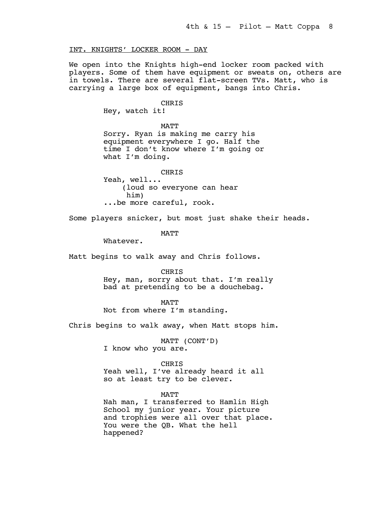# INT. KNIGHTS' LOCKER ROOM - DAY

We open into the Knights high-end locker room packed with players. Some of them have equipment or sweats on, others are in towels. There are several flat-screen TVs. Matt, who is carrying a large box of equipment, bangs into Chris.

#### CHRIS

Hey, watch it!

MATT Sorry. Ryan is making me carry his equipment everywhere I go. Half the time I don't know where I'm going or what I'm doing.

CHRIS Yeah, well... (loud so everyone can hear him) ...be more careful, rook.

Some players snicker, but most just shake their heads.

**MATT** 

Whatever.

Matt begins to walk away and Chris follows.

CHRIS

Hey, man, sorry about that. I'm really bad at pretending to be a douchebag.

# MATT

Not from where I'm standing.

Chris begins to walk away, when Matt stops him.

MATT (CONT'D) I know who you are.

#### CHRIS

Yeah well, I've already heard it all so at least try to be clever.

MATT

Nah man, I transferred to Hamlin High School my junior year. Your picture and trophies were all over that place. You were the QB. What the hell happened?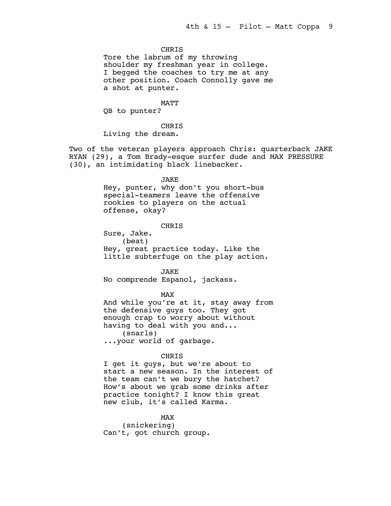# **CHRIS**

Tore the labrum of my throwing shoulder my freshman year in college. I begged the coaches to try me at any other position. Coach Connolly gave me a shot at punter.

MATT

QB to punter?

CHRIS Living the dream.

Two of the veteran players approach Chris: quarterback JAKE RYAN (29), a Tom Brady-esque surfer dude and MAX PRESSURE (30), an intimidating black linebacker.

#### JAKE

Hey, punter, why don't you short-bus special-teamers leave the offensive rookies to players on the actual offense, okay?

#### CHRIS

Sure, Jake. (beat) Hey, great practice today. Like the little subterfuge on the play action.

JAKE

No comprende Espanol, jackass.

#### MAX

And while you're at it, stay away from the defensive guys too. They got enough crap to worry about without having to deal with you and... (snarls) ...your world of garbage.

# CHRIS

I get it guys, but we're about to start a new season. In the interest of the team can't we bury the hatchet? How's about we grab some drinks after practice tonight? I know this great new club, it's called Karma.

# MAX

(snickering) Can't, got church group.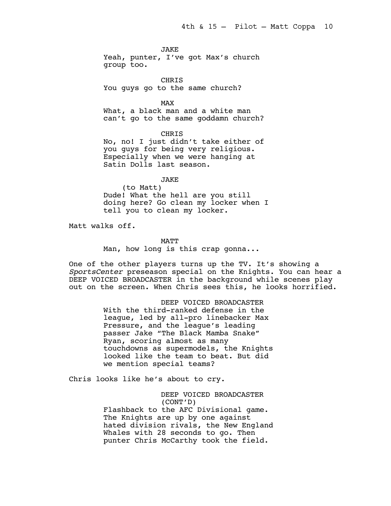JAKE

Yeah, punter, I've got Max's church group too.

CHRIS You guys go to the same church?

MAX

What, a black man and a white man can't go to the same goddamn church?

CHRIS

No, no! I just didn't take either of you guys for being very religious. Especially when we were hanging at Satin Dolls last season.

JAKE

(to Matt) Dude! What the hell are you still doing here? Go clean my locker when I tell you to clean my locker.

Matt walks off.

MATT

Man, how long is this crap gonna...

One of the other players turns up the TV. It's showing a *SportsCenter* preseason special on the Knights. You can hear a DEEP VOICED BROADCASTER in the background while scenes play out on the screen. When Chris sees this, he looks horrified.

> DEEP VOICED BROADCASTER With the third-ranked defense in the league, led by all-pro linebacker Max Pressure, and the league's leading passer Jake "The Black Mamba Snake" Ryan, scoring almost as many touchdowns as supermodels, the Knights looked like the team to beat. But did we mention special teams?

Chris looks like he's about to cry.

DEEP VOICED BROADCASTER (CONT'D) Flashback to the AFC Divisional game. The Knights are up by one against hated division rivals, the New England Whales with 28 seconds to go. Then punter Chris McCarthy took the field.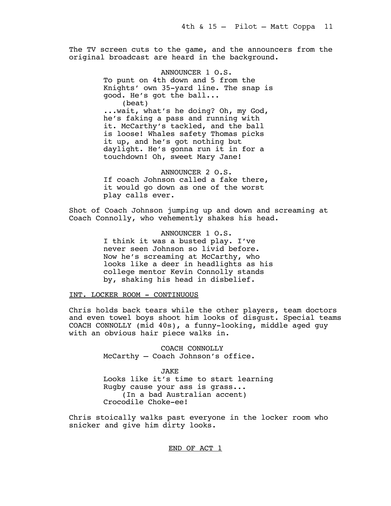The TV screen cuts to the game, and the announcers from the original broadcast are heard in the background.

> ANNOUNCER 1 O.S. To punt on 4th down and 5 from the Knights' own 35-yard line. The snap is good. He's got the ball... (beat) ...wait, what's he doing? Oh, my God, he's faking a pass and running with it. McCarthy's tackled, and the ball is loose! Whales safety Thomas picks it up, and he's got nothing but daylight. He's gonna run it in for a touchdown! Oh, sweet Mary Jane!

ANNOUNCER 2 O.S. If coach Johnson called a fake there, it would go down as one of the worst play calls ever.

Shot of Coach Johnson jumping up and down and screaming at Coach Connolly, who vehemently shakes his head.

> ANNOUNCER 1 O.S. I think it was a busted play. I've never seen Johnson so livid before. Now he's screaming at McCarthy, who looks like a deer in headlights as his college mentor Kevin Connolly stands by, shaking his head in disbelief.

INT. LOCKER ROOM - CONTINUOUS

Chris holds back tears while the other players, team doctors and even towel boys shoot him looks of disgust. Special teams COACH CONNOLLY (mid 40s), a funny-looking, middle aged guy with an obvious hair piece walks in.

> COACH CONNOLLY McCarthy — Coach Johnson's office.

JAKE Looks like it's time to start learning Rugby cause your ass is grass... (In a bad Australian accent) Crocodile Choke-ee!

Chris stoically walks past everyone in the locker room who snicker and give him dirty looks.

END OF ACT 1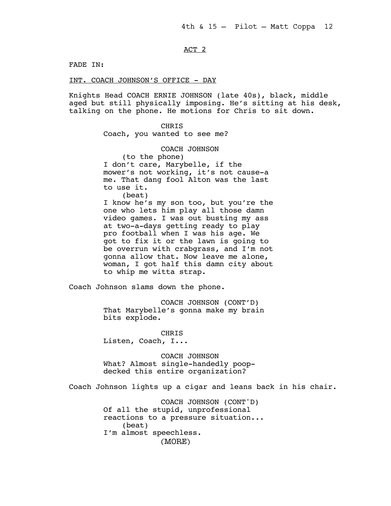# ACT 2

FADE IN:

INT. COACH JOHNSON'S OFFICE - DAY

Knights Head COACH ERNIE JOHNSON (late 40s), black, middle aged but still physically imposing. He's sitting at his desk, talking on the phone. He motions for Chris to sit down.

> CHRIS Coach, you wanted to see me?

> > COACH JOHNSON

(to the phone) I don't care, Marybelle, if the mower's not working, it's not cause-a me. That dang fool Alton was the last to use it. (beat)

I know he's my son too, but you're the one who lets him play all those damn video games. I was out busting my ass at two-a-days getting ready to play pro football when I was his age. We got to fix it or the lawn is going to be overrun with crabgrass, and I'm not gonna allow that. Now leave me alone, woman, I got half this damn city about to whip me witta strap.

Coach Johnson slams down the phone.

COACH JOHNSON (CONT'D) That Marybelle's gonna make my brain bits explode.

CHRIS Listen, Coach, I...

COACH JOHNSON What? Almost single-handedly poopdecked this entire organization?

Coach Johnson lights up a cigar and leans back in his chair.

COACH JOHNSON (CONT'D) Of all the stupid, unprofessional reactions to a pressure situation... (beat) I'm almost speechless. (MORE)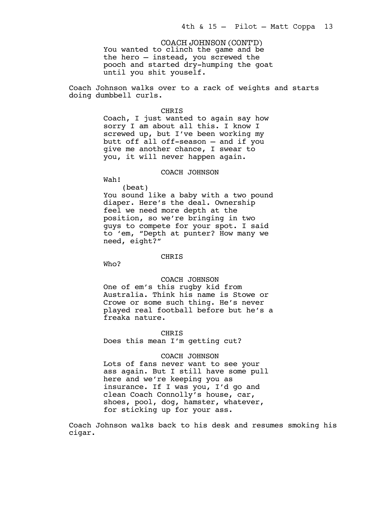You wanted to clinch the game and be the hero — instead, you screwed the pooch and started dry-humping the goat until you shit youself. COACH JOHNSON (CONT'D)

Coach Johnson walks over to a rack of weights and starts doing dumbbell curls.

#### CHRIS

Coach, I just wanted to again say how sorry I am about all this. I know I screwed up, but I've been working my butt off all off-season — and if you give me another chance, I swear to you, it will never happen again.

# COACH JOHNSON

Wah! (beat)

You sound like a baby with a two pound diaper. Here's the deal. Ownership feel we need more depth at the position, so we're bringing in two guys to compete for your spot. I said to 'em, "Depth at punter? How many we need, eight?"

# CHRIS

Who?

# COACH JOHNSON

One of em's this rugby kid from Australia. Think his name is Stowe or Crowe or some such thing. He's never played real football before but he's a freaka nature.

#### CHRIS

Does this mean I'm getting cut?

#### COACH JOHNSON

Lots of fans never want to see your ass again. But I still have some pull here and we're keeping you as insurance. If I was you, I'd go and clean Coach Connolly's house, car, shoes, pool, dog, hamster, whatever, for sticking up for your ass.

Coach Johnson walks back to his desk and resumes smoking his cigar.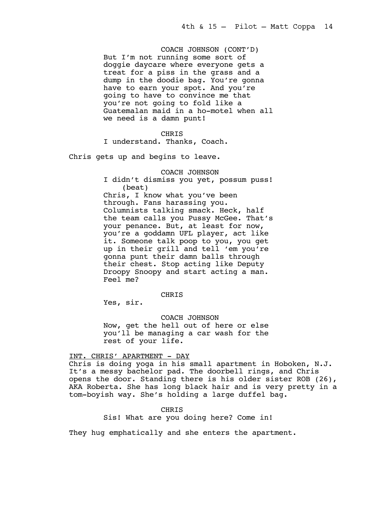COACH JOHNSON (CONT'D) But I'm not running some sort of doggie daycare where everyone gets a treat for a piss in the grass and a dump in the doodie bag. You're gonna have to earn your spot. And you're going to have to convince me that you're not going to fold like a Guatemalan maid in a ho-motel when all we need is a damn punt!

# CHRIS

I understand. Thanks, Coach.

Chris gets up and begins to leave.

COACH JOHNSON

I didn't dismiss you yet, possum puss! (beat) Chris, I know what you've been through. Fans harassing you. Columnists talking smack. Heck, half the team calls you Pussy McGee. That's your penance. But, at least for now, you're a goddamn UFL player, act like it. Someone talk poop to you, you get up in their grill and tell 'em you're gonna punt their damn balls through their chest. Stop acting like Deputy Droopy Snoopy and start acting a man. Feel me?

CHRIS

Yes, sir.

COACH JOHNSON Now, get the hell out of here or else you'll be managing a car wash for the rest of your life.

# INT. CHRIS' APARTMENT - DAY

Chris is doing yoga in his small apartment in Hoboken, N.J. It's a messy bachelor pad. The doorbell rings, and Chris opens the door. Standing there is his older sister ROB (26), AKA Roberta. She has long black hair and is very pretty in a tom-boyish way. She's holding a large duffel bag.

> CHRIS Sis! What are you doing here? Come in!

They hug emphatically and she enters the apartment.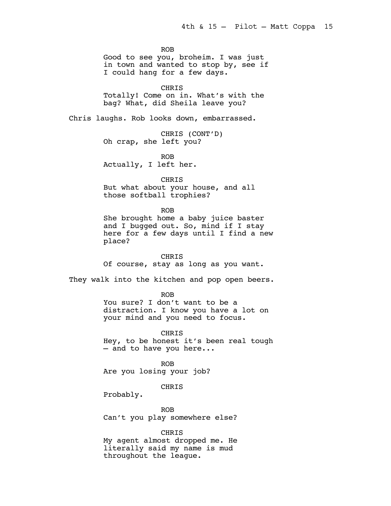ROB

Good to see you, broheim. I was just in town and wanted to stop by, see if I could hang for a few days.

CHRIS Totally! Come on in. What's with the bag? What, did Sheila leave you?

Chris laughs. Rob looks down, embarrassed.

CHRIS (CONT'D) Oh crap, she left you?

ROB Actually, I left her.

CHRIS

But what about your house, and all those softball trophies?

#### ROB

She brought home a baby juice baster and I bugged out. So, mind if I stay here for a few days until I find a new place?

CHRIS

Of course, stay as long as you want.

They walk into the kitchen and pop open beers.

ROB

You sure? I don't want to be a distraction. I know you have a lot on your mind and you need to focus.

CHRIS Hey, to be honest it's been real tough — and to have you here...

ROB Are you losing your job?

# CHRIS

Probably.

ROB Can't you play somewhere else?

CHRIS My agent almost dropped me. He literally said my name is mud throughout the league.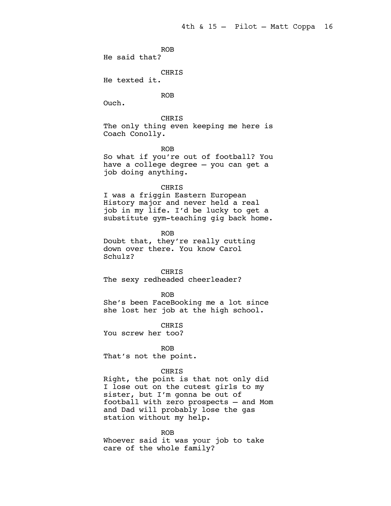ROB He said that?

CHRIS

He texted it.

ROB

Ouch.

CHRIS The only thing even keeping me here is Coach Conolly.

ROB

So what if you're out of football? You have a college degree — you can get a job doing anything.

# CHRIS

I was a friggin Eastern European History major and never held a real job in my life. I'd be lucky to get a substitute gym-teaching gig back home.

ROB Doubt that, they're really cutting down over there. You know Carol Schulz?

CHRIS The sexy redheaded cheerleader?

#### ROB

She's been FaceBooking me a lot since she lost her job at the high school.

CHRIS You screw her too?

ROB That's not the point.

# CHRIS

Right, the point is that not only did I lose out on the cutest girls to my sister, but I'm gonna be out of football with zero prospects — and Mom and Dad will probably lose the gas station without my help.

#### ROB

Whoever said it was your job to take care of the whole family?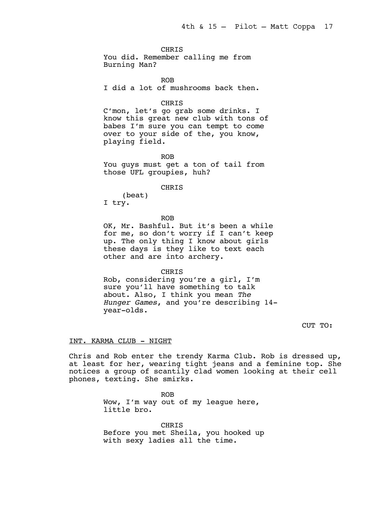# CHRIS

You did. Remember calling me from Burning Man?

ROB I did a lot of mushrooms back then.

#### CHRIS

C'mon, let's go grab some drinks. I know this great new club with tons of babes I'm sure you can tempt to come over to your side of the, you know, playing field.

ROB

You guys must get a ton of tail from those UFL groupies, huh?

# CHRIS

(beat) I try.

ROB

OK, Mr. Bashful. But it's been a while for me, so don't worry if I can't keep up. The only thing I know about girls these days is they like to text each other and are into archery.

CHRIS

Rob, considering you're a girl, I'm sure you'll have something to talk about. Also, I think you mean *The Hunger Games*, and you're describing 14 year-olds.

CUT TO:

# INT. KARMA CLUB - NIGHT

Chris and Rob enter the trendy Karma Club. Rob is dressed up, at least for her, wearing tight jeans and a feminine top. She notices a group of scantily clad women looking at their cell phones, texting. She smirks.

> ROB Wow, I'm way out of my league here, little bro.

CHRIS Before you met Sheila, you hooked up with sexy ladies all the time.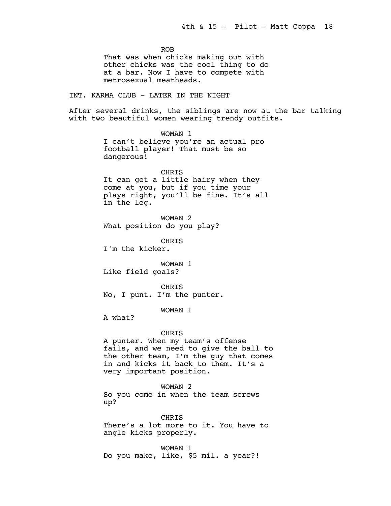ROB That was when chicks making out with other chicks was the cool thing to do at a bar. Now I have to compete with metrosexual meatheads. INT. KARMA CLUB - LATER IN THE NIGHT After several drinks, the siblings are now at the bar talking with two beautiful women wearing trendy outfits. WOMAN 1 I can't believe you're an actual pro football player! That must be so dangerous! CHRIS It can get a little hairy when they come at you, but if you time your plays right, you'll be fine. It's all in the leg. WOMAN 2 What position do you play? **CHRTS** I'm the kicker. WOMAN 1 Like field goals? CHRIS No, I punt. I'm the punter. WOMAN 1 A what? CHRIS A punter. When my team's offense fails, and we need to give the ball to the other team, I'm the guy that comes in and kicks it back to them. It's a very important position. WOMAN 2 So you come in when the team screws up? **CHRTS** There's a lot more to it. You have to

> WOMAN 1 Do you make, like, \$5 mil. a year?!

angle kicks properly.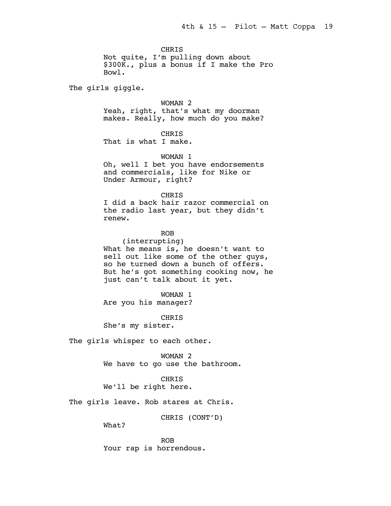CHRIS

Not quite, I'm pulling down about \$300K., plus a bonus if I make the Pro Bowl.

The girls giggle.

WOMAN 2

Yeah, right, that's what my doorman makes. Really, how much do you make?

CHRIS

That is what I make.

WOMAN 1

Oh, well I bet you have endorsements and commercials, like for Nike or Under Armour, right?

### CHRIS

I did a back hair razor commercial on the radio last year, but they didn't renew.

# ROB

(interrupting) What he means is, he doesn't want to sell out like some of the other guys, so he turned down a bunch of offers. But he's got something cooking now, he just can't talk about it yet.

WOMAN 1 Are you his manager?

CHRIS She's my sister.

The girls whisper to each other.

WOMAN 2

We have to go use the bathroom.

## CHRIS

We'll be right here.

The girls leave. Rob stares at Chris.

CHRIS (CONT'D)

What?

ROB Your rap is horrendous.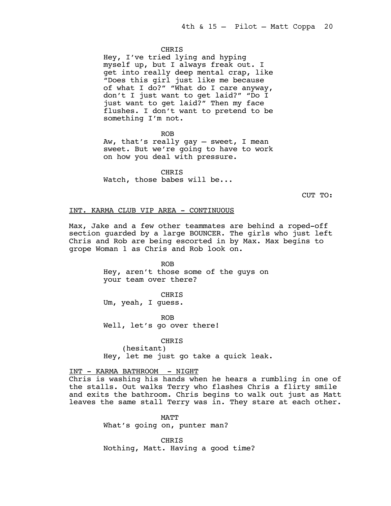## **CHRTS**

Hey, I've tried lying and hyping myself up, but I always freak out. I get into really deep mental crap, like "Does this girl just like me because of what I do?" "What do I care anyway, don't I just want to get laid?" "Do I just want to get laid?" Then my face flushes. I don't want to pretend to be something I'm not.

ROB Aw, that's really gay — sweet, I mean sweet. But we're going to have to work on how you deal with pressure.

CHRIS Watch, those babes will be...

CUT TO:

# INT. KARMA CLUB VIP AREA - CONTINUOUS

Max, Jake and a few other teammates are behind a roped-off section guarded by a large BOUNCER. The girls who just left Chris and Rob are being escorted in by Max. Max begins to grope Woman 1 as Chris and Rob look on.

> ROB Hey, aren't those some of the guys on your team over there?

CHRIS Um, yeah, I guess.

ROB Well, let's go over there!

CHRIS (hesitant) Hey, let me just go take a quick leak.

INT - KARMA BATHROOM - NIGHT Chris is washing his hands when he hears a rumbling in one of the stalls. Out walks Terry who flashes Chris a flirty smile and exits the bathroom. Chris begins to walk out just as Matt leaves the same stall Terry was in. They stare at each other.

> MATT What's going on, punter man?

CHRIS Nothing, Matt. Having a good time?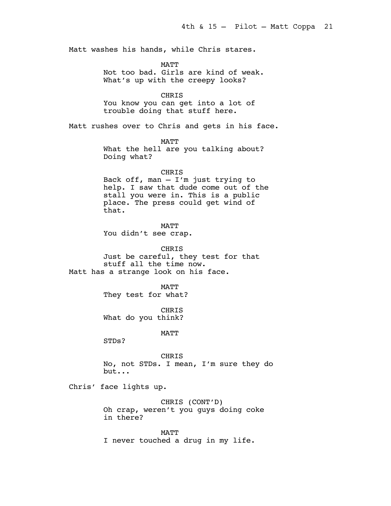Matt washes his hands, while Chris stares.

**MATT** Not too bad. Girls are kind of weak. What's up with the creepy looks?

CHRIS You know you can get into a lot of trouble doing that stuff here.

Matt rushes over to Chris and gets in his face.

MATT

What the hell are you talking about? Doing what?

CHRIS

Back off, man  $-$  I'm just trying to help. I saw that dude come out of the stall you were in. This is a public place. The press could get wind of that.

MATT You didn't see crap.

CHRIS Just be careful, they test for that stuff all the time now. Matt has a strange look on his face.

> **MATT** They test for what?

CHRIS What do you think?

MATT

STDs?

CHRIS No, not STDs. I mean, I'm sure they do but...

Chris' face lights up.

CHRIS (CONT'D) Oh crap, weren't you guys doing coke in there?

MATT I never touched a drug in my life.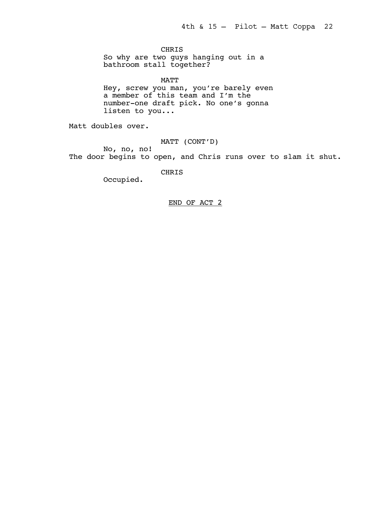CHRIS

So why are two guys hanging out in a bathroom stall together?

MATT Hey, screw you man, you're barely even a member of this team and I'm the number-one draft pick. No one's gonna listen to you...

Matt doubles over.

MATT (CONT'D)

No, no, no! The door begins to open, and Chris runs over to slam it shut.

CHRIS

Occupied.

# END OF ACT 2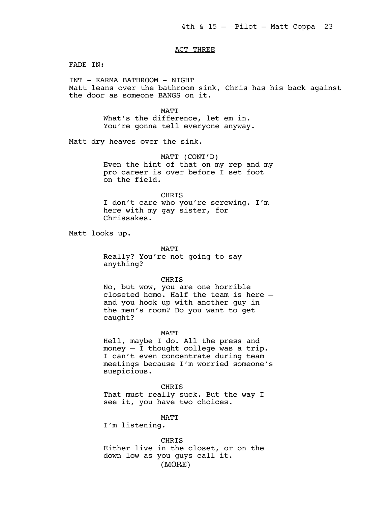# ACT THREE

FADE IN:

INT - KARMA BATHROOM - NIGHT Matt leans over the bathroom sink, Chris has his back against the door as someone BANGS on it.

> MATT What's the difference, let em in. You're gonna tell everyone anyway.

Matt dry heaves over the sink.

MATT (CONT'D) Even the hint of that on my rep and my pro career is over before I set foot on the field.

# CHRIS

I don't care who you're screwing. I'm here with my gay sister, for Chrissakes.

Matt looks up.

MATT Really? You're not going to say anything?

### CHRIS

No, but wow, you are one horrible closeted homo. Half the team is here and you hook up with another guy in the men's room? Do you want to get caught?

MATT

Hell, maybe I do. All the press and money — I thought college was a trip. I can't even concentrate during team meetings because I'm worried someone's suspicious.

CHRIS

That must really suck. But the way I see it, you have two choices.

MATT

I'm listening.

CHRIS Either live in the closet, or on the down low as you guys call it. (MORE)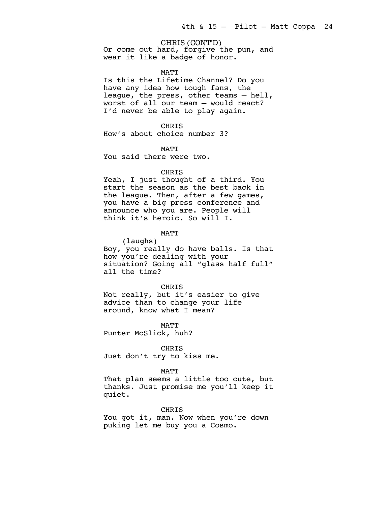# CHRIS (CONT'D)

Or come out hard, forgive the pun, and wear it like a badge of honor.

#### MATT

Is this the Lifetime Channel? Do you have any idea how tough fans, the league, the press, other teams — hell, worst of all our team — would react? I'd never be able to play again.

CHRIS

How's about choice number 3?

**MATT** 

You said there were two.

# CHRIS

Yeah, I just thought of a third. You start the season as the best back in the league. Then, after a few games, you have a big press conference and announce who you are. People will think it's heroic. So will I.

**MATT** 

(laughs) Boy, you really do have balls. Is that how you're dealing with your situation? Going all "glass half full" all the time?

CHRIS

Not really, but it's easier to give advice than to change your life around, know what I mean?

MATT

Punter McSlick, huh?

CHRIS Just don't try to kiss me.

#### MATT

That plan seems a little too cute, but thanks. Just promise me you'll keep it quiet.

#### CHRIS

You got it, man. Now when you're down puking let me buy you a Cosmo.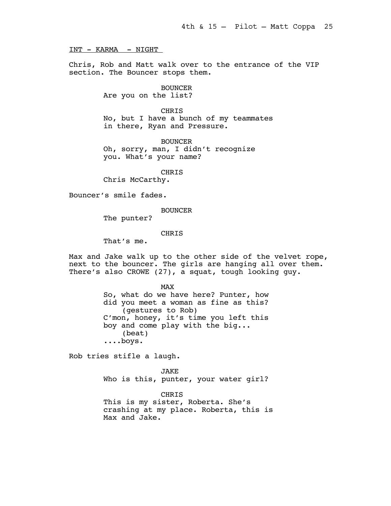INT - KARMA - NIGHT

Chris, Rob and Matt walk over to the entrance of the VIP section. The Bouncer stops them.

> BOUNCER Are you on the list?

CHRIS No, but I have a bunch of my teammates in there, Ryan and Pressure.

BOUNCER Oh, sorry, man, I didn't recognize you. What's your name?

CHRIS

Chris McCarthy.

Bouncer's smile fades.

BOUNCER

The punter?

# **CHRTS**

That's me.

Max and Jake walk up to the other side of the velvet rope, next to the bouncer. The girls are hanging all over them. There's also CROWE (27), a squat, tough looking guy.

> MAX So, what do we have here? Punter, how did you meet a woman as fine as this? (gestures to Rob) C'mon, honey, it's time you left this boy and come play with the big... (beat) ....boys.

Rob tries stifle a laugh.

JAKE Who is this, punter, your water girl?

CHRIS This is my sister, Roberta. She's crashing at my place. Roberta, this is Max and Jake.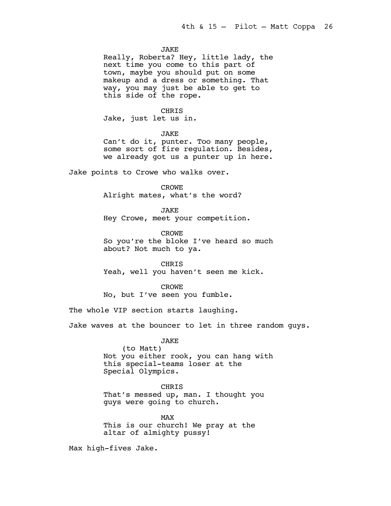### JAKE

Really, Roberta? Hey, little lady, the next time you come to this part of town, maybe you should put on some makeup and a dress or something. That way, you may just be able to get to this side of the rope.

# CHRIS

Jake, just let us in.

JAKE

Can't do it, punter. Too many people, some sort of fire regulation. Besides, we already got us a punter up in here.

Jake points to Crowe who walks over.

CROWE

Alright mates, what's the word?

JAKE

Hey Crowe, meet your competition.

CROWE

So you're the bloke I've heard so much about? Not much to ya.

CHRIS

Yeah, well you haven't seen me kick.

CROWE

No, but I've seen you fumble.

The whole VIP section starts laughing.

Jake waves at the bouncer to let in three random guys.

# JAKE

(to Matt) Not you either rook, you can hang with this special-teams loser at the Special Olympics.

CHRIS

That's messed up, man. I thought you guys were going to church.

MAX This is our church! We pray at the altar of almighty pussy!

Max high-fives Jake.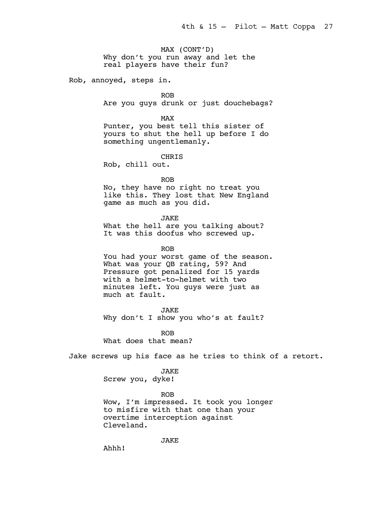MAX (CONT'D) Why don't you run away and let the real players have their fun?

Rob, annoyed, steps in.

ROB Are you guys drunk or just douchebags?

MAX Punter, you best tell this sister of yours to shut the hell up before I do something ungentlemanly.

CHRIS

Rob, chill out.

ROB

No, they have no right no treat you like this. They lost that New England game as much as you did.

JAKE

What the hell are you talking about? It was this doofus who screwed up.

ROB You had your worst game of the season. What was your QB rating, 59? And Pressure got penalized for 15 yards with a helmet-to-helmet with two minutes left. You guys were just as much at fault.

JAKE Why don't I show you who's at fault?

ROB What does that mean?

Jake screws up his face as he tries to think of a retort.

JAKE Screw you, dyke!

ROB Wow, I'm impressed. It took you longer to misfire with that one than your overtime interception against Cleveland.

JAKE

Ahhh!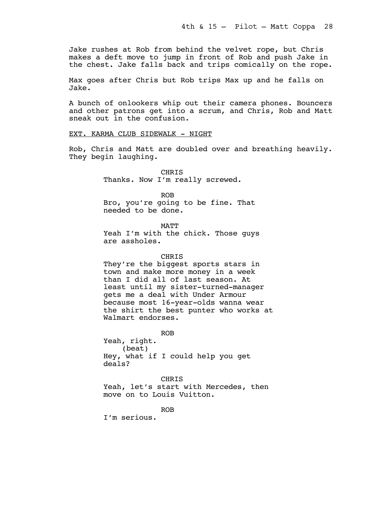Jake rushes at Rob from behind the velvet rope, but Chris makes a deft move to jump in front of Rob and push Jake in the chest. Jake falls back and trips comically on the rope.

Max goes after Chris but Rob trips Max up and he falls on Jake.

A bunch of onlookers whip out their camera phones. Bouncers and other patrons get into a scrum, and Chris, Rob and Matt sneak out in the confusion.

# EXT. KARMA CLUB SIDEWALK - NIGHT

Rob, Chris and Matt are doubled over and breathing heavily. They begin laughing.

> CHRIS Thanks. Now I'm really screwed.

ROB Bro, you're going to be fine. That needed to be done.

MATT Yeah I'm with the chick. Those guys are assholes.

# CHRIS

They're the biggest sports stars in town and make more money in a week than I did all of last season. At least until my sister-turned-manager gets me a deal with Under Armour because most 16-year-olds wanna wear the shirt the best punter who works at Walmart endorses.

ROB

Yeah, right. (beat) Hey, what if I could help you get deals?

CHRIS Yeah, let's start with Mercedes, then move on to Louis Vuitton.

ROB

I'm serious.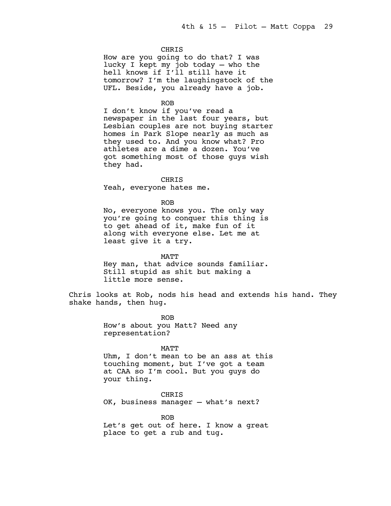#### **CHRIS**

How are you going to do that? I was lucky I kept my job today — who the hell knows if I'll still have it tomorrow? I'm the laughingstock of the UFL. Beside, you already have a job.

#### ROB

I don't know if you've read a newspaper in the last four years, but Lesbian couples are not buying starter homes in Park Slope nearly as much as they used to. And you know what? Pro athletes are a dime a dozen. You've got something most of those guys wish they had.

# CHRIS

Yeah, everyone hates me.

### ROB

No, everyone knows you. The only way you're going to conquer this thing is to get ahead of it, make fun of it along with everyone else. Let me at least give it a try.

MATT Hey man, that advice sounds familiar. Still stupid as shit but making a little more sense.

Chris looks at Rob, nods his head and extends his hand. They shake hands, then hug.

> ROB How's about you Matt? Need any representation?

#### MATT

Uhm, I don't mean to be an ass at this touching moment, but I've got a team at CAA so I'm cool. But you guys do your thing.

CHRIS

OK, business manager — what's next?

ROB

Let's get out of here. I know a great place to get a rub and tug.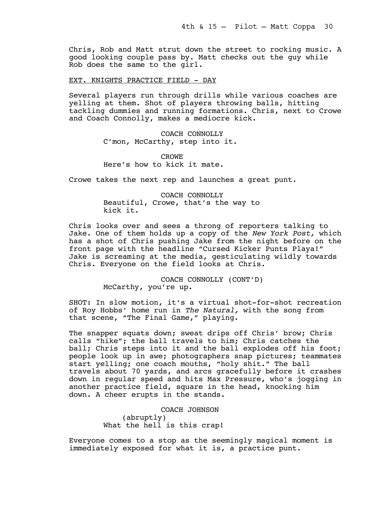Chris, Rob and Matt strut down the street to rocking music. A good looking couple pass by. Matt checks out the guy while Rob does the same to the girl.

# EXT. KNIGHTS PRACTICE FIELD - DAY

Several players run through drills while various coaches are yelling at them. Shot of players throwing balls, hitting tackling dummies and running formations. Chris, next to Crowe and Coach Connolly, makes a mediocre kick.

> COACH CONNOLLY C'mon, McCarthy, step into it.

CROWE Here's how to kick it mate.

Crowe takes the next rep and launches a great punt.

COACH CONNOLLY Beautiful, Crowe, that's the way to kick it.

Chris looks over and sees a throng of reporters talking to Jake. One of them holds up a copy of the *New York Post,* which has a shot of Chris pushing Jake from the night before on the front page with the headline "Cursed Kicker Punts Playa!" Jake is screaming at the media, gesticulating wildly towards Chris. Everyone on the field looks at Chris.

> COACH CONNOLLY (CONT'D) McCarthy, you're up.

SHOT: In slow motion, it's a virtual shot-for-shot recreation of Roy Hobbs' home run in *The Natural,* with the song from that scene, "The Final Game," playing.

The snapper squats down; sweat drips off Chris' brow; Chris calls "hike"; the ball travels to him; Chris catches the ball; Chris steps into it and the ball explodes off his foot; people look up in awe; photographers snap pictures; teammates start yelling; one coach mouths, "holy shit." The ball travels about 70 yards, and arcs gracefully before it crashes down in regular speed and hits Max Pressure, who's jogging in another practice field, square in the head, knocking him down. A cheer erupts in the stands.

> COACH JOHNSON (abruptly) What the hell is this crap!

Everyone comes to a stop as the seemingly magical moment is immediately exposed for what it is, a practice punt.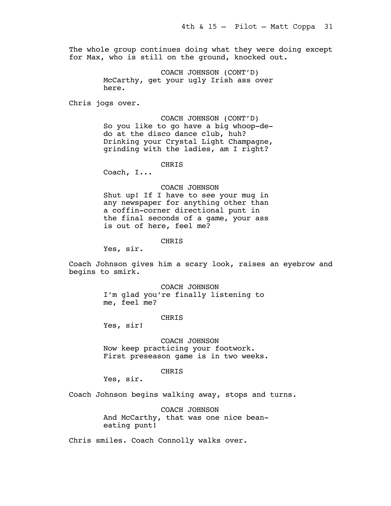The whole group continues doing what they were doing except for Max, who is still on the ground, knocked out.

> COACH JOHNSON (CONT'D) McCarthy, get your ugly Irish ass over here.

Chris jogs over.

COACH JOHNSON (CONT'D) So you like to go have a big whoop-dedo at the disco dance club, huh? Drinking your Crystal Light Champagne, grinding with the ladies, am I right?

CHRIS

Coach, I...

#### COACH JOHNSON

Shut up! If I have to see your mug in any newspaper for anything other than a coffin-corner directional punt in the final seconds of a game, your ass is out of here, feel me?

CHRIS

Yes, sir.

Coach Johnson gives him a scary look, raises an eyebrow and begins to smirk.

> COACH JOHNSON I'm glad you're finally listening to me, feel me?

# CHRIS

Yes, sir!

COACH JOHNSON Now keep practicing your footwork. First preseason game is in two weeks.

# CHRIS

Yes, sir.

Coach Johnson begins walking away, stops and turns.

COACH JOHNSON And McCarthy, that was one nice beaneating punt!

Chris smiles. Coach Connolly walks over.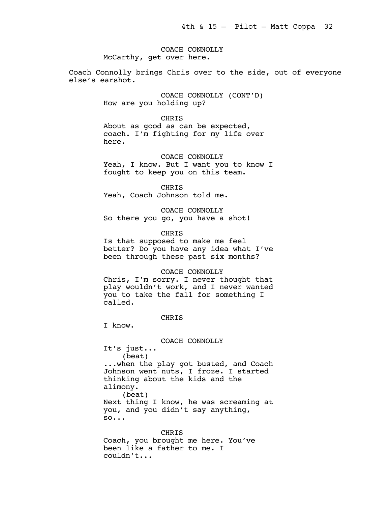COACH CONNOLLY McCarthy, get over here.

Coach Connolly brings Chris over to the side, out of everyone else's earshot.

> COACH CONNOLLY (CONT'D) How are you holding up?

CHRIS About as good as can be expected, coach. I'm fighting for my life over here.

COACH CONNOLLY Yeah, I know. But I want you to know I fought to keep you on this team.

CHRIS Yeah, Coach Johnson told me.

COACH CONNOLLY So there you go, you have a shot!

**CHRIS** 

Is that supposed to make me feel better? Do you have any idea what I've been through these past six months?

### COACH CONNOLLY

Chris, I'm sorry. I never thought that play wouldn't work, and I never wanted you to take the fall for something I called.

**CHRTS** 

I know.

COACH CONNOLLY It's just... (beat) ...when the play got busted, and Coach Johnson went nuts, I froze. I started thinking about the kids and the alimony. (beat) Next thing I know, he was screaming at you, and you didn't say anything, so...

CHRIS Coach, you brought me here. You've been like a father to me. I couldn't...